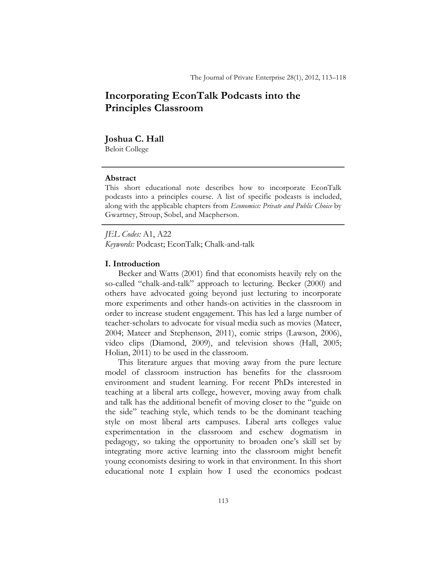# **Incorporating EconTalk Podcasts into the Principles Classroom**

## **Joshua C. Hall**

Beloit College

# **Abstract**

This short educational note describes how to incorporate EconTalk podcasts into a principles course. A list of specific podcasts is included, along with the applicable chapters from *Economics: Private and Public Choice* by Gwartney, Stroup, Sobel, and Macpherson.

*JEL Codes:* A1, A22 *Keywords:* Podcast; EconTalk; Chalk-and-talk

#### **I. Introduction**

Becker and Watts (2001) find that economists heavily rely on the so-called "chalk-and-talk" approach to lecturing. Becker (2000) and others have advocated going beyond just lecturing to incorporate more experiments and other hands-on activities in the classroom in order to increase student engagement. This has led a large number of teacher-scholars to advocate for visual media such as movies (Mateer, 2004; Mateer and Stephenson, 2011), comic strips (Lawson, 2006), video clips (Diamond, 2009), and television shows (Hall, 2005; Holian, 2011) to be used in the classroom.

This literature argues that moving away from the pure lecture model of classroom instruction has benefits for the classroom environment and student learning. For recent PhDs interested in teaching at a liberal arts college, however, moving away from chalk and talk has the additional benefit of moving closer to the "guide on the side" teaching style, which tends to be the dominant teaching style on most liberal arts campuses. Liberal arts colleges value experimentation in the classroom and eschew dogmatism in pedagogy, so taking the opportunity to broaden one's skill set by integrating more active learning into the classroom might benefit young economists desiring to work in that environment. In this short educational note I explain how I used the economics podcast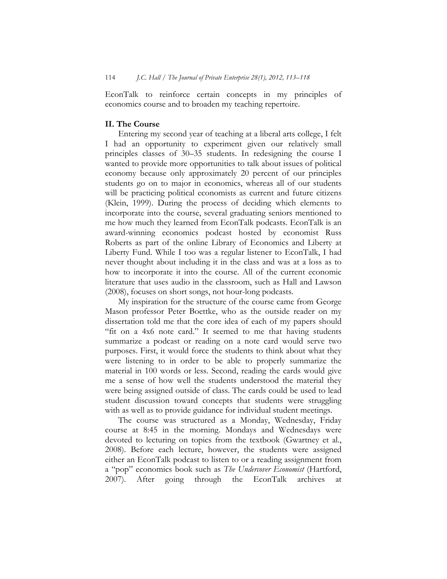EconTalk to reinforce certain concepts in my principles of economics course and to broaden my teaching repertoire.

## **II. The Course**

Entering my second year of teaching at a liberal arts college, I felt I had an opportunity to experiment given our relatively small principles classes of 30–35 students. In redesigning the course I wanted to provide more opportunities to talk about issues of political economy because only approximately 20 percent of our principles students go on to major in economics, whereas all of our students will be practicing political economists as current and future citizens (Klein, 1999). During the process of deciding which elements to incorporate into the course, several graduating seniors mentioned to me how much they learned from EconTalk podcasts. EconTalk is an award-winning economics podcast hosted by economist Russ Roberts as part of the online Library of Economics and Liberty at Liberty Fund. While I too was a regular listener to EconTalk, I had never thought about including it in the class and was at a loss as to how to incorporate it into the course. All of the current economic literature that uses audio in the classroom, such as Hall and Lawson (2008), focuses on short songs, not hour-long podcasts.

My inspiration for the structure of the course came from George Mason professor Peter Boettke, who as the outside reader on my dissertation told me that the core idea of each of my papers should "fit on a 4x6 note card." It seemed to me that having students summarize a podcast or reading on a note card would serve two purposes. First, it would force the students to think about what they were listening to in order to be able to properly summarize the material in 100 words or less. Second, reading the cards would give me a sense of how well the students understood the material they were being assigned outside of class. The cards could be used to lead student discussion toward concepts that students were struggling with as well as to provide guidance for individual student meetings.

The course was structured as a Monday, Wednesday, Friday course at 8:45 in the morning. Mondays and Wednesdays were devoted to lecturing on topics from the textbook (Gwartney et al., 2008). Before each lecture, however, the students were assigned either an EconTalk podcast to listen to or a reading assignment from a "pop" economics book such as *The Undercover Economist* (Hartford, 2007). After going through the EconTalk archives at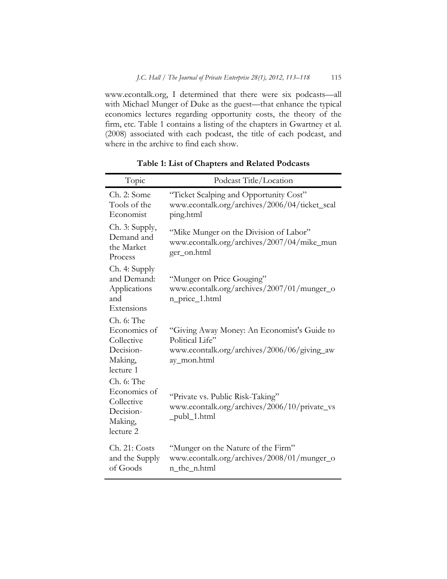www.econtalk.org, I determined that there were six podcasts—all with Michael Munger of Duke as the guest—that enhance the typical economics lectures regarding opportunity costs, the theory of the firm, etc. Table 1 contains a listing of the chapters in Gwartney et al. (2008) associated with each podcast, the title of each podcast, and where in the archive to find each show.

| Topic                                                                         | Podcast Title/Location                                                                                                       |
|-------------------------------------------------------------------------------|------------------------------------------------------------------------------------------------------------------------------|
| Ch. 2: Some<br>Tools of the<br>Economist                                      | "Ticket Scalping and Opportunity Cost"<br>www.econtalk.org/archives/2006/04/ticket_scal<br>ping.html                         |
| Ch. 3: Supply,<br>Demand and<br>the Market<br>Process                         | "Mike Munger on the Division of Labor"<br>www.econtalk.org/archives/2007/04/mike_mun<br>ger_on.html                          |
| Ch. 4: Supply<br>and Demand:<br>Applications<br>and<br>Extensions             | "Munger on Price Gouging"<br>www.econtalk.org/archives/2007/01/munger_o<br>n_price_1.html                                    |
| Ch. 6: The<br>Economics of<br>Collective<br>Decision-<br>Making,<br>lecture 1 | "Giving Away Money: An Economist's Guide to<br>Political Life"<br>www.econtalk.org/archives/2006/06/giving_aw<br>ay_mon.html |
| Ch. 6: The<br>Economics of<br>Collective<br>Decision-<br>Making,<br>lecture 2 | "Private vs. Public Risk-Taking"<br>www.econtalk.org/archives/2006/10/private_vs<br>_publ_1.html                             |
| Ch. 21: Costs<br>and the Supply<br>of Goods                                   | "Munger on the Nature of the Firm"<br>www.econtalk.org/archives/2008/01/munger_o<br>n_the_n.html                             |

**Table 1: List of Chapters and Related Podcasts**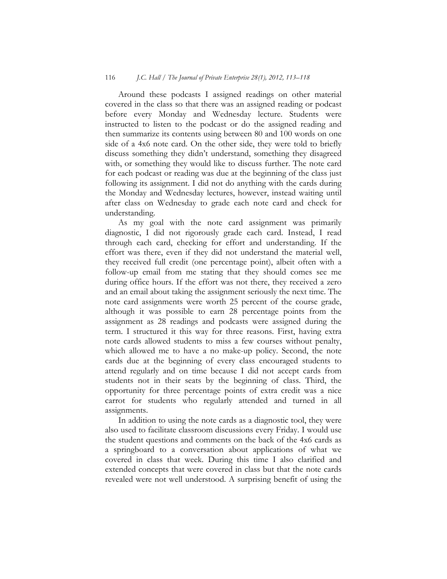#### 116 *J.C. Hall / The Journal of Private Enterprise 28(1), 2012, 113–118*

Around these podcasts I assigned readings on other material covered in the class so that there was an assigned reading or podcast before every Monday and Wednesday lecture. Students were instructed to listen to the podcast or do the assigned reading and then summarize its contents using between 80 and 100 words on one side of a 4x6 note card. On the other side, they were told to briefly discuss something they didn't understand, something they disagreed with, or something they would like to discuss further. The note card for each podcast or reading was due at the beginning of the class just following its assignment. I did not do anything with the cards during the Monday and Wednesday lectures, however, instead waiting until after class on Wednesday to grade each note card and check for understanding.

As my goal with the note card assignment was primarily diagnostic, I did not rigorously grade each card. Instead, I read through each card, checking for effort and understanding. If the effort was there, even if they did not understand the material well, they received full credit (one percentage point), albeit often with a follow-up email from me stating that they should comes see me during office hours. If the effort was not there, they received a zero and an email about taking the assignment seriously the next time. The note card assignments were worth 25 percent of the course grade, although it was possible to earn 28 percentage points from the assignment as 28 readings and podcasts were assigned during the term. I structured it this way for three reasons. First, having extra note cards allowed students to miss a few courses without penalty, which allowed me to have a no make-up policy. Second, the note cards due at the beginning of every class encouraged students to attend regularly and on time because I did not accept cards from students not in their seats by the beginning of class. Third, the opportunity for three percentage points of extra credit was a nice carrot for students who regularly attended and turned in all assignments.

In addition to using the note cards as a diagnostic tool, they were also used to facilitate classroom discussions every Friday. I would use the student questions and comments on the back of the 4x6 cards as a springboard to a conversation about applications of what we covered in class that week. During this time I also clarified and extended concepts that were covered in class but that the note cards revealed were not well understood. A surprising benefit of using the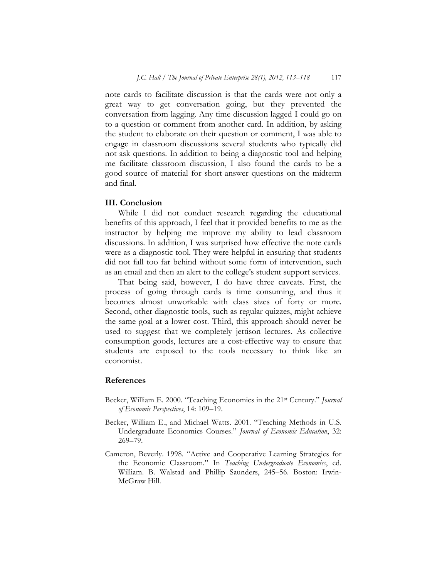note cards to facilitate discussion is that the cards were not only a great way to get conversation going, but they prevented the conversation from lagging. Any time discussion lagged I could go on to a question or comment from another card. In addition, by asking the student to elaborate on their question or comment, I was able to engage in classroom discussions several students who typically did not ask questions. In addition to being a diagnostic tool and helping me facilitate classroom discussion, I also found the cards to be a good source of material for short-answer questions on the midterm and final.

# **III. Conclusion**

While I did not conduct research regarding the educational benefits of this approach, I feel that it provided benefits to me as the instructor by helping me improve my ability to lead classroom discussions. In addition, I was surprised how effective the note cards were as a diagnostic tool. They were helpful in ensuring that students did not fall too far behind without some form of intervention, such as an email and then an alert to the college's student support services.

That being said, however, I do have three caveats. First, the process of going through cards is time consuming, and thus it becomes almost unworkable with class sizes of forty or more. Second, other diagnostic tools, such as regular quizzes, might achieve the same goal at a lower cost. Third, this approach should never be used to suggest that we completely jettison lectures. As collective consumption goods, lectures are a cost-effective way to ensure that students are exposed to the tools necessary to think like an economist.

## **References**

- Becker, William E. 2000. "Teaching Economics in the 21st Century." *Journal of Economic Perspectives*, 14: 109–19.
- Becker, William E., and Michael Watts. 2001. "Teaching Methods in U.S. Undergraduate Economics Courses." *Journal of Economic Education*, 32: 269–79.
- Cameron, Beverly. 1998. "Active and Cooperative Learning Strategies for the Economic Classroom." In *Teaching Undergraduate Economics*, ed. William. B. Walstad and Phillip Saunders, 245–56. Boston: Irwin-McGraw Hill.